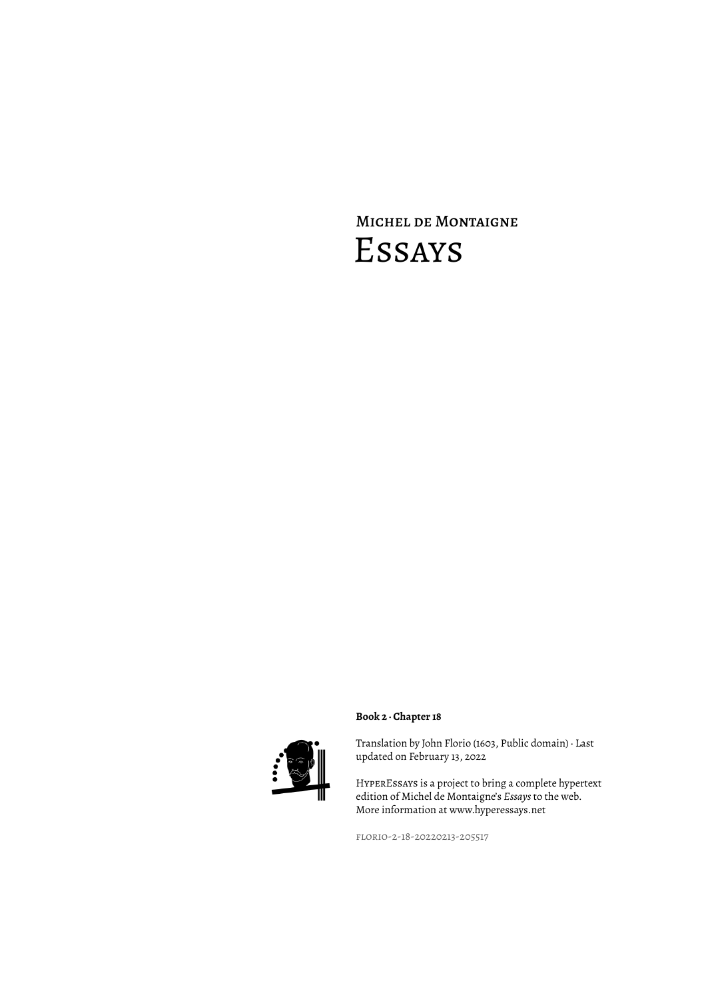# Michel de Montaigne Essays



### **Book 2 · Chapter 18**

Translation by John Florio (1603, Public domain) · Last updated on February 13, 2022

HyperEssays is a project to bring a complete hypertext edition of Michel de Montaigne's *Essays* to the web. More information at www.hyperessays.net

florio-2-18-20220213-205517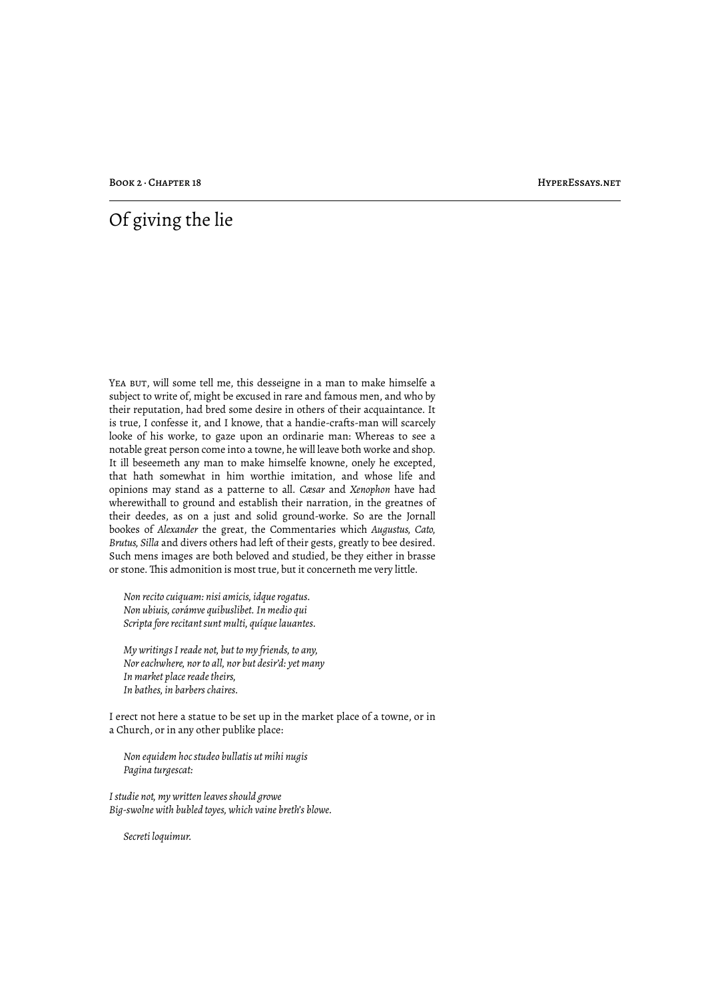BOOK 2 · CHAPTER 18 HYPERESSAYS.NET

## Of giving the lie

YEA BUT, will some tell me, this desseigne in a man to make himselfe a subject to write of, might be excused in rare and famous men, and who by their reputation, had bred some desire in others of their acquaintance. It is true, I confesse it, and I knowe, that a handie-crafts-man will scarcely looke of his worke, to gaze upon an ordinarie man: Whereas to see a notable great person come into a towne, he will leave both worke and shop. It ill beseemeth any man to make himselfe knowne, onely he excepted, that hath somewhat in him worthie imitation, and whose life and opinions may stand as a patterne to all. *Cæsar* and *Xenophon* have had wherewithall to ground and establish their narration, in the greatnes of their deedes, as on a just and solid ground-worke. So are the Jornall bookes of *Alexander* the great, the Commentaries which *Augustus, Cato, Brutus, Silla* and divers others had left of their gests, greatly to bee desired. Such mens images are both beloved and studied, be they either in brasse or stone. This admonition is most true, but it concerneth me very little.

*Non recito cuiquam: nisi amicis, idque rogatus. Non ubiuis, corámve quibuslibet. In medio qui Scripta fore recitant sunt multi, quíque lauantes.*

*My writings I reade not, but to my friends, to any, Nor eachwhere, nor to all, nor but desir'd: yet many In market place reade theirs, In bathes, in barbers chaires.*

I erect not here a statue to be set up in the market place of a towne, or in a Church, or in any other publike place:

*Non equidem hoc studeo bullatis ut mihi nugis Pagina turgescat:*

*I studie not, my written leaves should growe Big-swolne with bubled toyes, which vaine breth's blowe.*

*Secreti loquimur.*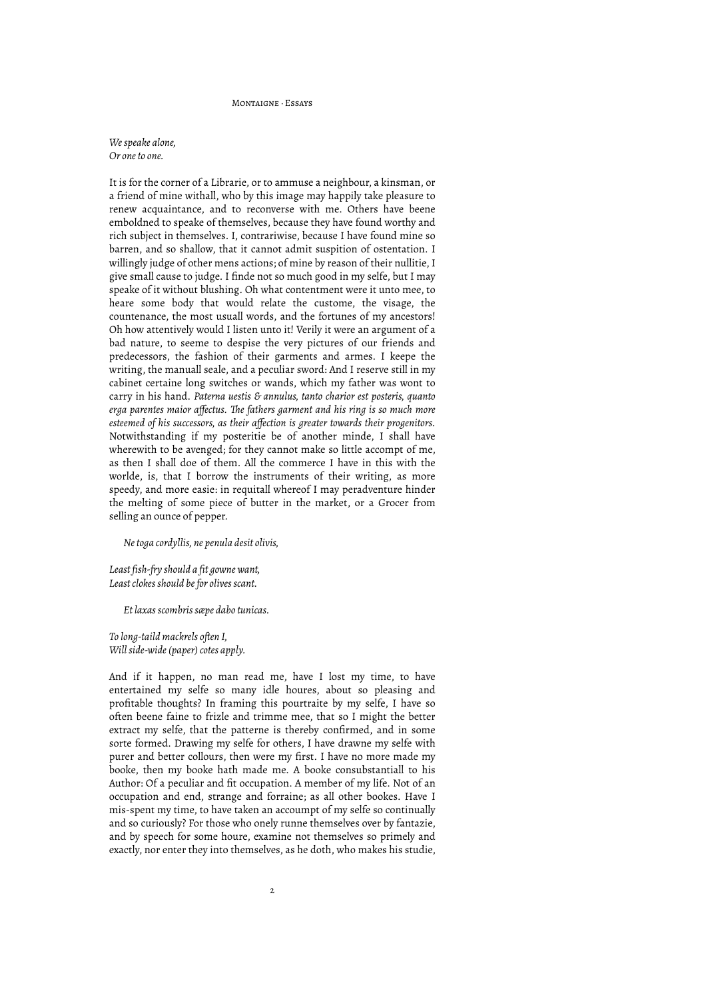#### Montaigne · Essays

*We speake alone, Or one to one.*

It is for the corner of a Librarie, or to ammuse a neighbour, a kinsman, or a friend of mine withall, who by this image may happily take pleasure to renew acquaintance, and to reconverse with me. Others have beene emboldned to speake of themselves, because they have found worthy and rich subject in themselves. I, contrariwise, because I have found mine so barren, and so shallow, that it cannot admit suspition of ostentation. I willingly judge of other mens actions; of mine by reason of their nullitie, I give small cause to judge. I finde not so much good in my selfe, but I may speake of it without blushing. Oh what contentment were it unto mee, to heare some body that would relate the custome, the visage, the countenance, the most usuall words, and the fortunes of my ancestors! Oh how attentively would I listen unto it! Verily it were an argument of a bad nature, to seeme to despise the very pictures of our friends and predecessors, the fashion of their garments and armes. I keepe the writing, the manuall seale, and a peculiar sword: And I reserve still in my cabinet certaine long switches or wands, which my father was wont to carry in his hand. *Paterna uestis & annulus, tanto charior est posteris, quanto erga parentes maior affectus. "e fathers garment and his ring is so much more esteemed of his successors, as their affection is greater towards their progenitors.* Notwithstanding if my posteritie be of another minde, I shall have wherewith to be avenged; for they cannot make so little accompt of me, as then I shall doe of them. All the commerce I have in this with the worlde, is, that I borrow the instruments of their writing, as more speedy, and more easie: in requitall whereof I may peradventure hinder the melting of some piece of butter in the market, or a Grocer from selling an ounce of pepper.

*Ne toga cordyllis, ne penula desit olivis,*

*Least fish-fry should a fit gowne want, Least clokes should be for olives scant.*

*Et laxas scombris sæpe dabo tunicas.*

*To long-taild mackrels often I, Will side-wide (paper) cotes apply.*

And if it happen, no man read me, have I lost my time, to have entertained my selfe so many idle houres, about so pleasing and profitable thoughts? In framing this pourtraite by my selfe, I have so often beene faine to frizle and trimme mee, that so I might the better extract my selfe, that the patterne is thereby confirmed, and in some sorte formed. Drawing my selfe for others, I have drawne my selfe with purer and better collours, then were my first. I have no more made my booke, then my booke hath made me. A booke consubstantiall to his Author: Of a peculiar and fit occupation. A member of my life. Not of an occupation and end, strange and forraine; as all other bookes. Have I mis-spent my time, to have taken an accoumpt of my selfe so continually and so curiously? For those who onely runne themselves over by fantazie, and by speech for some houre, examine not themselves so primely and exactly, nor enter they into themselves, as he doth, who makes his studie,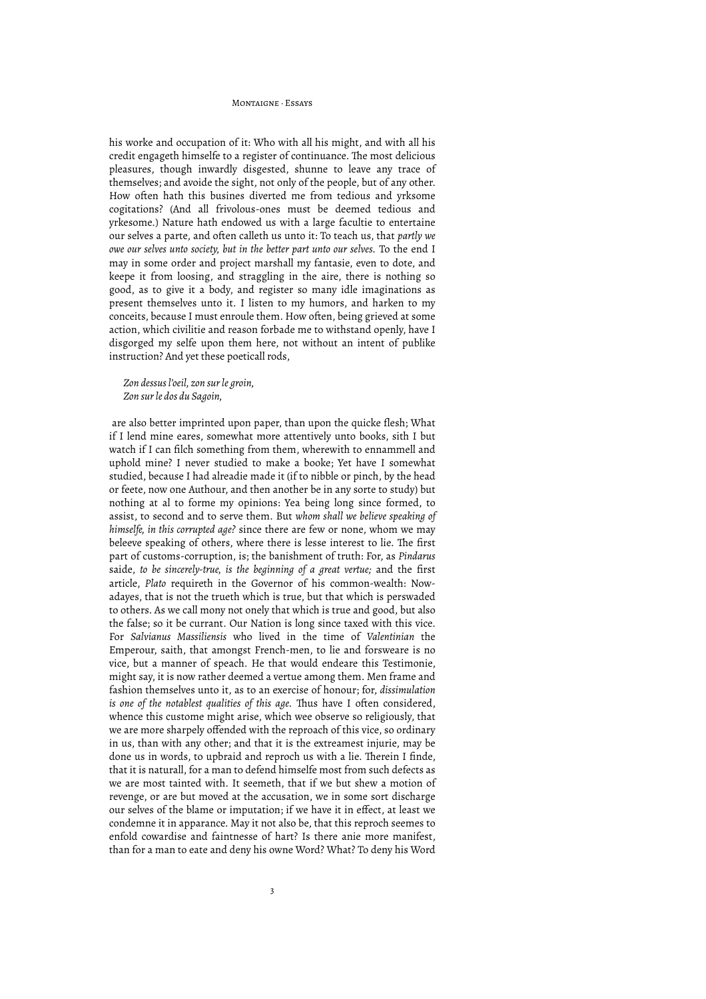#### Montaigne · Essays

his worke and occupation of it: Who with all his might, and with all his credit engageth himselfe to a register of continuance. The most delicious pleasures, though inwardly disgested, shunne to leave any trace of themselves; and avoide the sight, not only of the people, but of any other. How often hath this busines diverted me from tedious and yrksome cogitations? (And all frivolous-ones must be deemed tedious and yrkesome.) Nature hath endowed us with a large facultie to entertaine our selves a parte, and often calleth us unto it: To teach us, that *partly we owe our selves unto society, but in the better part unto our selves.* To the end I may in some order and project marshall my fantasie, even to dote, and keepe it from loosing, and straggling in the aire, there is nothing so good, as to give it a body, and register so many idle imaginations as present themselves unto it. I listen to my humors, and harken to my conceits, because I must enroule them. How often, being grieved at some action, which civilitie and reason forbade me to withstand openly, have I disgorged my selfe upon them here, not without an intent of publike instruction? And yet these poeticall rods,

*Zon dessus l'oeil, zon sur le groin, Zon sur le dos du Sagoin,*

 are also better imprinted upon paper, than upon the quicke flesh; What if I lend mine eares, somewhat more attentively unto books, sith I but watch if I can filch something from them, wherewith to ennammell and uphold mine? I never studied to make a booke; Yet have I somewhat studied, because I had alreadie made it (if to nibble or pinch, by the head or feete, now one Authour, and then another be in any sorte to study) but nothing at al to forme my opinions: Yea being long since formed, to assist, to second and to serve them. But *whom shall we believe speaking of himselfe, in this corrupted age?* since there are few or none, whom we may beleeve speaking of others, where there is lesse interest to lie. The first part of customs-corruption, is; the banishment of truth: For, as *Pindarus* saide, *to be sincerely-true, is the beginning of a great vertue;* and the first article, *Plato* requireth in the Governor of his common-wealth: Nowadayes, that is not the trueth which is true, but that which is perswaded to others. As we call mony not onely that which is true and good, but also the false; so it be currant. Our Nation is long since taxed with this vice. For *Salvianus Massiliensis* who lived in the time of *Valentinian* the Emperour, saith, that amongst French-men, to lie and forsweare is no vice, but a manner of speach. He that would endeare this Testimonie, might say, it is now rather deemed a vertue among them. Men frame and fashion themselves unto it, as to an exercise of honour; for, *dissimulation is one of the notablest qualities of this age*. Thus have I often considered, whence this custome might arise, which wee observe so religiously, that we are more sharpely offended with the reproach of this vice, so ordinary in us, than with any other; and that it is the extreamest injurie, may be done us in words, to upbraid and reproch us with a lie. Therein I finde, that it is naturall, for a man to defend himselfe most from such defects as we are most tainted with. It seemeth, that if we but shew a motion of revenge, or are but moved at the accusation, we in some sort discharge our selves of the blame or imputation; if we have it in effect, at least we condemne it in apparance. May it not also be, that this reproch seemes to enfold cowardise and faintnesse of hart? Is there anie more manifest, than for a man to eate and deny his owne Word? What? To deny his Word